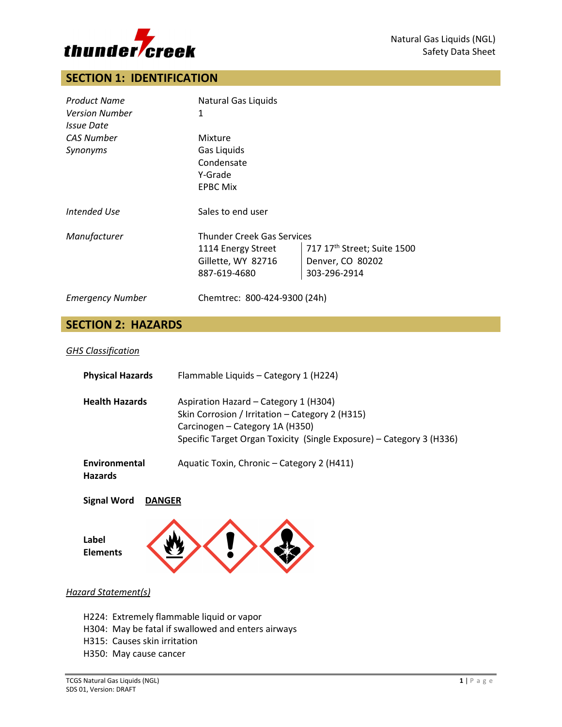

# **SECTION 1: IDENTIFICATION**

| <b>Product Name</b>      | Natural Gas Liquids          |                                         |  |
|--------------------------|------------------------------|-----------------------------------------|--|
| <b>Version Number</b>    | 1                            |                                         |  |
| <i><b>Issue Date</b></i> |                              |                                         |  |
| <b>CAS Number</b>        | Mixture                      |                                         |  |
| Synonyms                 | Gas Liquids                  |                                         |  |
|                          | Condensate                   |                                         |  |
|                          | Y-Grade                      |                                         |  |
|                          | <b>EPBC Mix</b>              |                                         |  |
| Intended Use             | Sales to end user            |                                         |  |
| Manufacturer             |                              | <b>Thunder Creek Gas Services</b>       |  |
|                          | 1114 Energy Street           | 717 17 <sup>th</sup> Street; Suite 1500 |  |
|                          | Gillette, WY 82716           | Denver, CO 80202                        |  |
|                          | 887-619-4680                 | 303-296-2914                            |  |
| <b>Emergency Number</b>  | Chemtrec: 800-424-9300 (24h) |                                         |  |

# **SECTION 2: HAZARDS**

### *GHS Classification*

| <b>Physical Hazards</b>         | Flammable Liquids - Category 1 (H224)                                                                                                                                                               |
|---------------------------------|-----------------------------------------------------------------------------------------------------------------------------------------------------------------------------------------------------|
| <b>Health Hazards</b>           | Aspiration Hazard - Category 1 (H304)<br>Skin Corrosion / Irritation - Category 2 (H315)<br>Carcinogen - Category 1A (H350)<br>Specific Target Organ Toxicity (Single Exposure) – Category 3 (H336) |
| Environmental<br><b>Hazards</b> | Aquatic Toxin, Chronic - Category 2 (H411)                                                                                                                                                          |

**Signal Word DANGER**



### *Hazard Statement(s)*

- H224: Extremely flammable liquid or vapor
- H304: May be fatal if swallowed and enters airways
- H315: Causes skin irritation
- H350: May cause cancer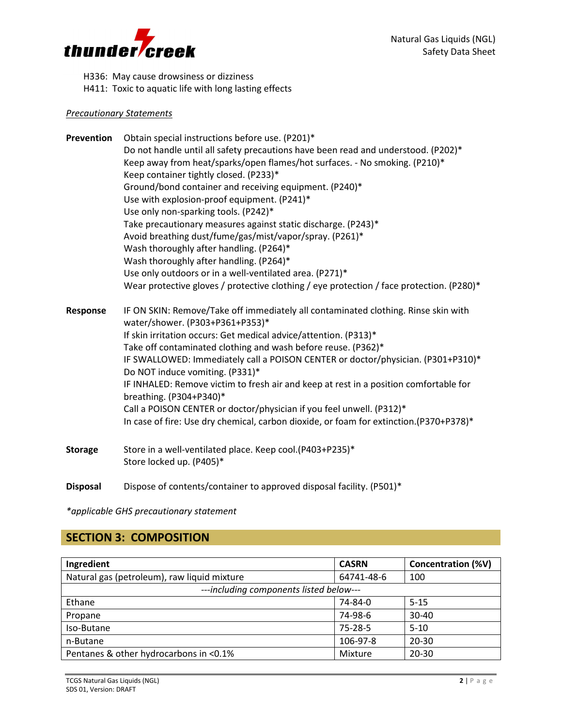

H336: May cause drowsiness or dizziness

H411: Toxic to aquatic life with long lasting effects

### *Precautionary Statements*

**Prevention** Obtain special instructions before use. (P201)\* Do not handle until all safety precautions have been read and understood. (P202)\* Keep away from heat/sparks/open flames/hot surfaces. - No smoking. (P210)\* Keep container tightly closed. (P233)\* Ground/bond container and receiving equipment. (P240)\* Use with explosion-proof equipment. (P241)\* Use only non-sparking tools. (P242)\* Take precautionary measures against static discharge. (P243)\* Avoid breathing dust/fume/gas/mist/vapor/spray. (P261)\* Wash thoroughly after handling. (P264)\* Wash thoroughly after handling. (P264)\* Use only outdoors or in a well-ventilated area. (P271)\* Wear protective gloves / protective clothing / eye protection / face protection. (P280)\* **Response** IF ON SKIN: Remove/Take off immediately all contaminated clothing. Rinse skin with water/shower. (P303+P361+P353)\* If skin irritation occurs: Get medical advice/attention. (P313)\* Take off contaminated clothing and wash before reuse. (P362)\* IF SWALLOWED: Immediately call a POISON CENTER or doctor/physician. (P301+P310)\* Do NOT induce vomiting. (P331)\* IF INHALED: Remove victim to fresh air and keep at rest in a position comfortable for breathing. (P304+P340)\* Call a POISON CENTER or doctor/physician if you feel unwell. (P312)\* In case of fire: Use dry chemical, carbon dioxide, or foam for extinction.(P370+P378)\*

- **Storage** Store in a well-ventilated place. Keep cool.(P403+P235)\* Store locked up. (P405)\*
- **Disposal** Dispose of contents/container to approved disposal facility. (P501)\*

*\*applicable GHS precautionary statement*

# **SECTION 3: COMPOSITION**

| Ingredient                                  | <b>CASRN</b>  | Concentration (%V) |
|---------------------------------------------|---------------|--------------------|
| Natural gas (petroleum), raw liquid mixture | 64741-48-6    | 100                |
| ---including components listed below---     |               |                    |
| Ethane                                      | 74-84-0       | $5 - 15$           |
| Propane                                     | 74-98-6       | $30 - 40$          |
| Iso-Butane                                  | $75 - 28 - 5$ | $5 - 10$           |
| n-Butane                                    | 106-97-8      | $20 - 30$          |
| Pentanes & other hydrocarbons in <0.1%      | Mixture       | $20 - 30$          |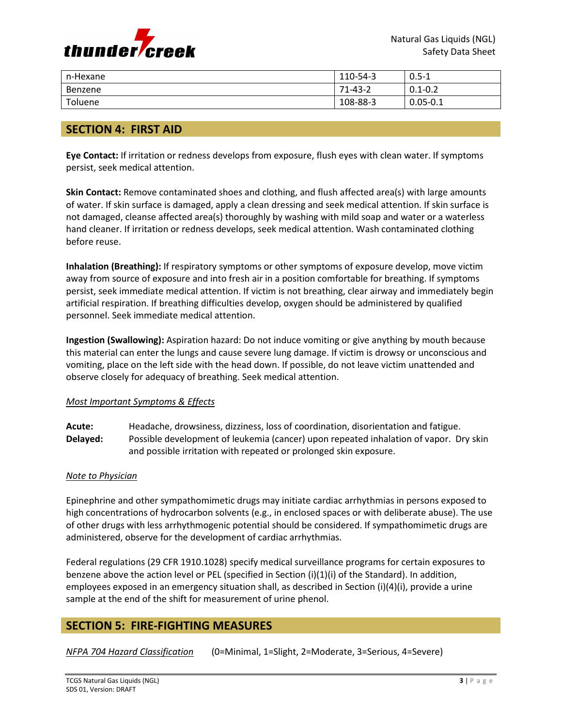

| n-Hexane | 110-54-3      | $0.5 - 1$    |
|----------|---------------|--------------|
| Benzene  | $71 - 43 - 2$ | $0.1 - 0.2$  |
| Toluene  | 108-88-3      | $0.05 - 0.1$ |

## **SECTION 4: FIRST AID**

**Eye Contact:** If irritation or redness develops from exposure, flush eyes with clean water. If symptoms persist, seek medical attention.

**Skin Contact:** Remove contaminated shoes and clothing, and flush affected area(s) with large amounts of water. If skin surface is damaged, apply a clean dressing and seek medical attention. If skin surface is not damaged, cleanse affected area(s) thoroughly by washing with mild soap and water or a waterless hand cleaner. If irritation or redness develops, seek medical attention. Wash contaminated clothing before reuse.

**Inhalation (Breathing):** If respiratory symptoms or other symptoms of exposure develop, move victim away from source of exposure and into fresh air in a position comfortable for breathing. If symptoms persist, seek immediate medical attention. If victim is not breathing, clear airway and immediately begin artificial respiration. If breathing difficulties develop, oxygen should be administered by qualified personnel. Seek immediate medical attention.

**Ingestion (Swallowing):** Aspiration hazard: Do not induce vomiting or give anything by mouth because this material can enter the lungs and cause severe lung damage. If victim is drowsy or unconscious and vomiting, place on the left side with the head down. If possible, do not leave victim unattended and observe closely for adequacy of breathing. Seek medical attention.

### *Most Important Symptoms & Effects*

**Acute:** Headache, drowsiness, dizziness, loss of coordination, disorientation and fatigue. **Delayed:** Possible development of leukemia (cancer) upon repeated inhalation of vapor. Dry skin and possible irritation with repeated or prolonged skin exposure.

#### *Note to Physician*

Epinephrine and other sympathomimetic drugs may initiate cardiac arrhythmias in persons exposed to high concentrations of hydrocarbon solvents (e.g., in enclosed spaces or with deliberate abuse). The use of other drugs with less arrhythmogenic potential should be considered. If sympathomimetic drugs are administered, observe for the development of cardiac arrhythmias.

Federal regulations (29 CFR 1910.1028) specify medical surveillance programs for certain exposures to benzene above the action level or PEL (specified in Section (i)(1)(i) of the Standard). In addition, employees exposed in an emergency situation shall, as described in Section (i)(4)(i), provide a urine sample at the end of the shift for measurement of urine phenol.

## **SECTION 5: FIRE-FIGHTING MEASURES**

*NFPA 704 Hazard Classification* (0=Minimal, 1=Slight, 2=Moderate, 3=Serious, 4=Severe)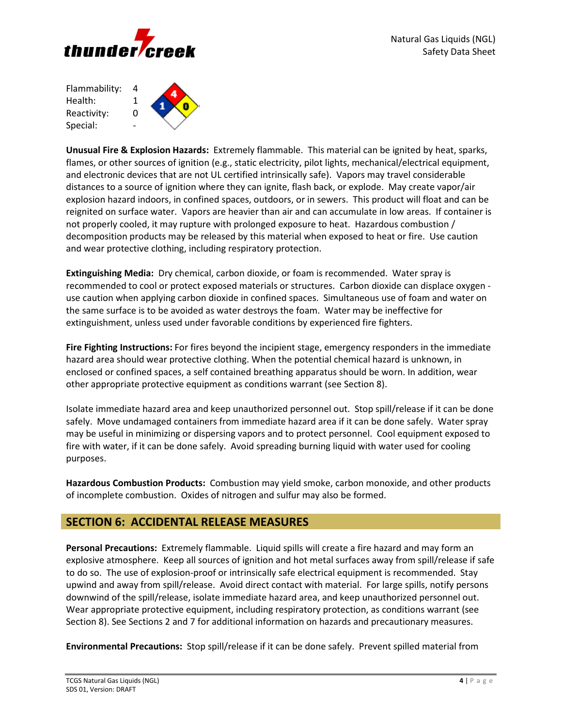

Flammability: 4 Health: 1 Reactivity: 0 Special:

**Unusual Fire & Explosion Hazards:** Extremely flammable. This material can be ignited by heat, sparks, flames, or other sources of ignition (e.g., static electricity, pilot lights, mechanical/electrical equipment, and electronic devices that are not UL certified intrinsically safe). Vapors may travel considerable distances to a source of ignition where they can ignite, flash back, or explode. May create vapor/air explosion hazard indoors, in confined spaces, outdoors, or in sewers. This product will float and can be reignited on surface water. Vapors are heavier than air and can accumulate in low areas. If container is not properly cooled, it may rupture with prolonged exposure to heat. Hazardous combustion / decomposition products may be released by this material when exposed to heat or fire. Use caution and wear protective clothing, including respiratory protection.

**Extinguishing Media:** Dry chemical, carbon dioxide, or foam is recommended. Water spray is recommended to cool or protect exposed materials or structures. Carbon dioxide can displace oxygen use caution when applying carbon dioxide in confined spaces. Simultaneous use of foam and water on the same surface is to be avoided as water destroys the foam. Water may be ineffective for extinguishment, unless used under favorable conditions by experienced fire fighters.

**Fire Fighting Instructions:** For fires beyond the incipient stage, emergency responders in the immediate hazard area should wear protective clothing. When the potential chemical hazard is unknown, in enclosed or confined spaces, a self contained breathing apparatus should be worn. In addition, wear other appropriate protective equipment as conditions warrant (see Section 8).

Isolate immediate hazard area and keep unauthorized personnel out. Stop spill/release if it can be done safely. Move undamaged containers from immediate hazard area if it can be done safely. Water spray may be useful in minimizing or dispersing vapors and to protect personnel. Cool equipment exposed to fire with water, if it can be done safely. Avoid spreading burning liquid with water used for cooling purposes.

**Hazardous Combustion Products:** Combustion may yield smoke, carbon monoxide, and other products of incomplete combustion. Oxides of nitrogen and sulfur may also be formed.

# **SECTION 6: ACCIDENTAL RELEASE MEASURES**

**Personal Precautions:** Extremely flammable. Liquid spills will create a fire hazard and may form an explosive atmosphere. Keep all sources of ignition and hot metal surfaces away from spill/release if safe to do so. The use of explosion-proof or intrinsically safe electrical equipment is recommended. Stay upwind and away from spill/release. Avoid direct contact with material. For large spills, notify persons downwind of the spill/release, isolate immediate hazard area, and keep unauthorized personnel out. Wear appropriate protective equipment, including respiratory protection, as conditions warrant (see Section 8). See Sections 2 and 7 for additional information on hazards and precautionary measures.

**Environmental Precautions:** Stop spill/release if it can be done safely. Prevent spilled material from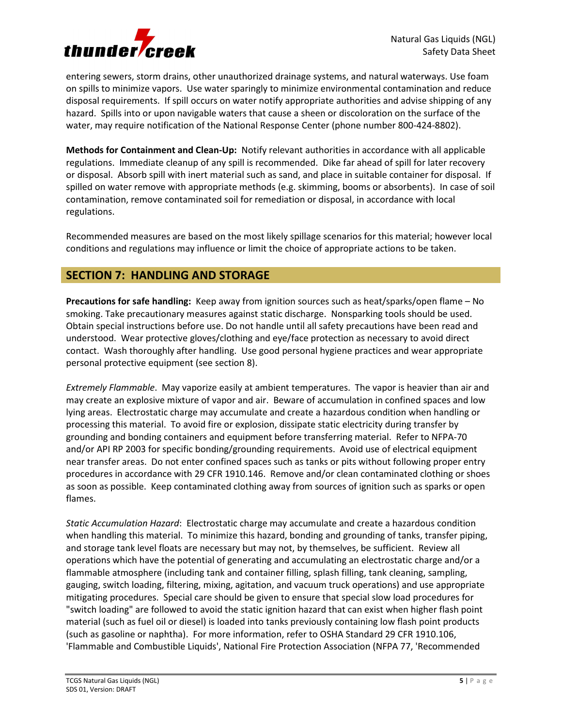

entering sewers, storm drains, other unauthorized drainage systems, and natural waterways. Use foam on spills to minimize vapors. Use water sparingly to minimize environmental contamination and reduce disposal requirements. If spill occurs on water notify appropriate authorities and advise shipping of any hazard. Spills into or upon navigable waters that cause a sheen or discoloration on the surface of the water, may require notification of the National Response Center (phone number 800-424-8802).

**Methods for Containment and Clean-Up:** Notify relevant authorities in accordance with all applicable regulations. Immediate cleanup of any spill is recommended. Dike far ahead of spill for later recovery or disposal. Absorb spill with inert material such as sand, and place in suitable container for disposal. If spilled on water remove with appropriate methods (e.g. skimming, booms or absorbents). In case of soil contamination, remove contaminated soil for remediation or disposal, in accordance with local regulations.

Recommended measures are based on the most likely spillage scenarios for this material; however local conditions and regulations may influence or limit the choice of appropriate actions to be taken.

# **SECTION 7: HANDLING AND STORAGE**

**Precautions for safe handling:** Keep away from ignition sources such as heat/sparks/open flame – No smoking. Take precautionary measures against static discharge. Nonsparking tools should be used. Obtain special instructions before use. Do not handle until all safety precautions have been read and understood. Wear protective gloves/clothing and eye/face protection as necessary to avoid direct contact. Wash thoroughly after handling. Use good personal hygiene practices and wear appropriate personal protective equipment (see section 8).

*Extremely Flammable*. May vaporize easily at ambient temperatures. The vapor is heavier than air and may create an explosive mixture of vapor and air. Beware of accumulation in confined spaces and low lying areas. Electrostatic charge may accumulate and create a hazardous condition when handling or processing this material. To avoid fire or explosion, dissipate static electricity during transfer by grounding and bonding containers and equipment before transferring material. Refer to NFPA-70 and/or API RP 2003 for specific bonding/grounding requirements. Avoid use of electrical equipment near transfer areas. Do not enter confined spaces such as tanks or pits without following proper entry procedures in accordance with 29 CFR 1910.146. Remove and/or clean contaminated clothing or shoes as soon as possible. Keep contaminated clothing away from sources of ignition such as sparks or open flames.

*Static Accumulation Hazard*: Electrostatic charge may accumulate and create a hazardous condition when handling this material. To minimize this hazard, bonding and grounding of tanks, transfer piping, and storage tank level floats are necessary but may not, by themselves, be sufficient. Review all operations which have the potential of generating and accumulating an electrostatic charge and/or a flammable atmosphere (including tank and container filling, splash filling, tank cleaning, sampling, gauging, switch loading, filtering, mixing, agitation, and vacuum truck operations) and use appropriate mitigating procedures. Special care should be given to ensure that special slow load procedures for "switch loading" are followed to avoid the static ignition hazard that can exist when higher flash point material (such as fuel oil or diesel) is loaded into tanks previously containing low flash point products (such as gasoline or naphtha). For more information, refer to OSHA Standard 29 CFR 1910.106, 'Flammable and Combustible Liquids', National Fire Protection Association (NFPA 77, 'Recommended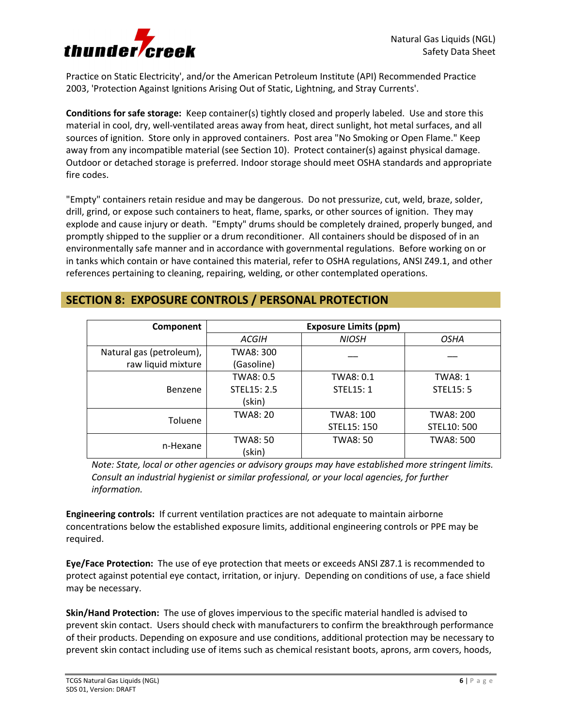

Practice on Static Electricity', and/or the American Petroleum Institute (API) Recommended Practice 2003, 'Protection Against Ignitions Arising Out of Static, Lightning, and Stray Currents'.

**Conditions for safe storage:** Keep container(s) tightly closed and properly labeled. Use and store this material in cool, dry, well-ventilated areas away from heat, direct sunlight, hot metal surfaces, and all sources of ignition. Store only in approved containers. Post area "No Smoking or Open Flame." Keep away from any incompatible material (see Section 10). Protect container(s) against physical damage. Outdoor or detached storage is preferred. Indoor storage should meet OSHA standards and appropriate fire codes.

"Empty" containers retain residue and may be dangerous. Do not pressurize, cut, weld, braze, solder, drill, grind, or expose such containers to heat, flame, sparks, or other sources of ignition. They may explode and cause injury or death. "Empty" drums should be completely drained, properly bunged, and promptly shipped to the supplier or a drum reconditioner. All containers should be disposed of in an environmentally safe manner and in accordance with governmental regulations. Before working on or in tanks which contain or have contained this material, refer to OSHA regulations, ANSI Z49.1, and other references pertaining to cleaning, repairing, welding, or other contemplated operations.

# **SECTION 8: EXPOSURE CONTROLS / PERSONAL PROTECTION**

| Component                | <b>Exposure Limits (ppm)</b> |                 |                  |
|--------------------------|------------------------------|-----------------|------------------|
|                          | ACGIH                        | <b>NIOSH</b>    | OSHA             |
| Natural gas (petroleum), | TWA8: 300                    |                 |                  |
| raw liquid mixture       | (Gasoline)                   |                 |                  |
| <b>Benzene</b>           | TWA8: 0.5                    | TWA8: 0.1       | <b>TWA8: 1</b>   |
|                          | STEL15: 2.5                  | <b>STEL15:1</b> | <b>STEL15: 5</b> |
|                          | (skin)                       |                 |                  |
|                          | <b>TWA8: 20</b>              | TWA8: 100       | TWA8: 200        |
| Toluene                  |                              | STEL15: 150     | STEL10: 500      |
|                          | TWA8: 50                     | <b>TWA8: 50</b> | <b>TWA8: 500</b> |
| n-Hexane                 | (skin)                       |                 |                  |

*Note: State, local or other agencies or advisory groups may have established more stringent limits. Consult an industrial hygienist or similar professional, or your local agencies, for further information.* 

**Engineering controls:** If current ventilation practices are not adequate to maintain airborne concentrations below the established exposure limits, additional engineering controls or PPE may be required.

**Eye/Face Protection:** The use of eye protection that meets or exceeds ANSI Z87.1 is recommended to protect against potential eye contact, irritation, or injury. Depending on conditions of use, a face shield may be necessary.

**Skin/Hand Protection:** The use of gloves impervious to the specific material handled is advised to prevent skin contact. Users should check with manufacturers to confirm the breakthrough performance of their products. Depending on exposure and use conditions, additional protection may be necessary to prevent skin contact including use of items such as chemical resistant boots, aprons, arm covers, hoods,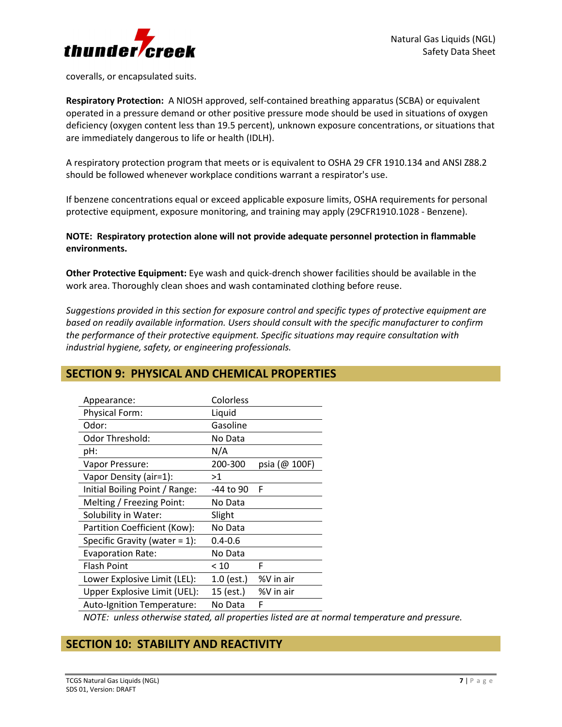

coveralls, or encapsulated suits.

**Respiratory Protection:** A NIOSH approved, self-contained breathing apparatus (SCBA) or equivalent operated in a pressure demand or other positive pressure mode should be used in situations of oxygen deficiency (oxygen content less than 19.5 percent), unknown exposure concentrations, or situations that are immediately dangerous to life or health (IDLH).

A respiratory protection program that meets or is equivalent to OSHA 29 CFR 1910.134 and ANSI Z88.2 should be followed whenever workplace conditions warrant a respirator's use.

If benzene concentrations equal or exceed applicable exposure limits, OSHA requirements for personal protective equipment, exposure monitoring, and training may apply (29CFR1910.1028 - Benzene).

**NOTE: Respiratory protection alone will not provide adequate personnel protection in flammable environments.** 

**Other Protective Equipment:** Eye wash and quick-drench shower facilities should be available in the work area. Thoroughly clean shoes and wash contaminated clothing before reuse.

*Suggestions provided in this section for exposure control and specific types of protective equipment are based on readily available information. Users should consult with the specific manufacturer to confirm the performance of their protective equipment. Specific situations may require consultation with industrial hygiene, safety, or engineering professionals.* 

| Appearance:                      | Colorless   |               |
|----------------------------------|-------------|---------------|
| <b>Physical Form:</b>            | Liquid      |               |
| Odor:                            | Gasoline    |               |
| Odor Threshold:                  | No Data     |               |
| pH:                              | N/A         |               |
| Vapor Pressure:                  | 200-300     | psia (@ 100F) |
| Vapor Density (air=1):           | >1          |               |
| Initial Boiling Point / Range:   | -44 to 90   | F             |
| Melting / Freezing Point:        | No Data     |               |
| Solubility in Water:             | Slight      |               |
| Partition Coefficient (Kow):     | No Data     |               |
| Specific Gravity (water $= 1$ ): | $0.4 - 0.6$ |               |
| <b>Evaporation Rate:</b>         | No Data     |               |
| <b>Flash Point</b>               | < 10        | F             |
| Lower Explosive Limit (LEL):     | 1.0 (est.)  | %V in air     |
| Upper Explosive Limit (UEL):     | 15 (est.)   | %V in air     |
| Auto-Ignition Temperature:       | No Data     | F             |

# **SECTION 9: PHYSICAL AND CHEMICAL PROPERTIES**

*NOTE: unless otherwise stated, all properties listed are at normal temperature and pressure.*

# **SECTION 10: STABILITY AND REACTIVITY**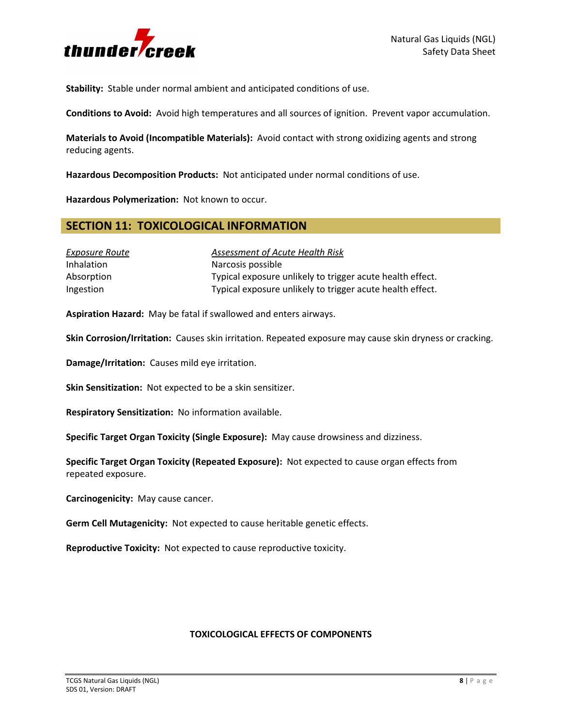

**Stability:** Stable under normal ambient and anticipated conditions of use.

**Conditions to Avoid:** Avoid high temperatures and all sources of ignition. Prevent vapor accumulation.

**Materials to Avoid (Incompatible Materials):** Avoid contact with strong oxidizing agents and strong reducing agents.

**Hazardous Decomposition Products:** Not anticipated under normal conditions of use.

**Hazardous Polymerization:** Not known to occur.

## **SECTION 11: TOXICOLOGICAL INFORMATION**

| Exposure Route    | Assessment of Acute Health Risk                           |
|-------------------|-----------------------------------------------------------|
| <b>Inhalation</b> | Narcosis possible                                         |
| Absorption        | Typical exposure unlikely to trigger acute health effect. |
| Ingestion         | Typical exposure unlikely to trigger acute health effect. |

**Aspiration Hazard:** May be fatal if swallowed and enters airways.

**Skin Corrosion/Irritation:** Causes skin irritation. Repeated exposure may cause skin dryness or cracking.

**Damage/Irritation:** Causes mild eye irritation.

**Skin Sensitization:** Not expected to be a skin sensitizer.

**Respiratory Sensitization:** No information available.

**Specific Target Organ Toxicity (Single Exposure):** May cause drowsiness and dizziness.

**Specific Target Organ Toxicity (Repeated Exposure):** Not expected to cause organ effects from repeated exposure.

**Carcinogenicity:** May cause cancer.

**Germ Cell Mutagenicity:** Not expected to cause heritable genetic effects.

**Reproductive Toxicity:** Not expected to cause reproductive toxicity.

#### **TOXICOLOGICAL EFFECTS OF COMPONENTS**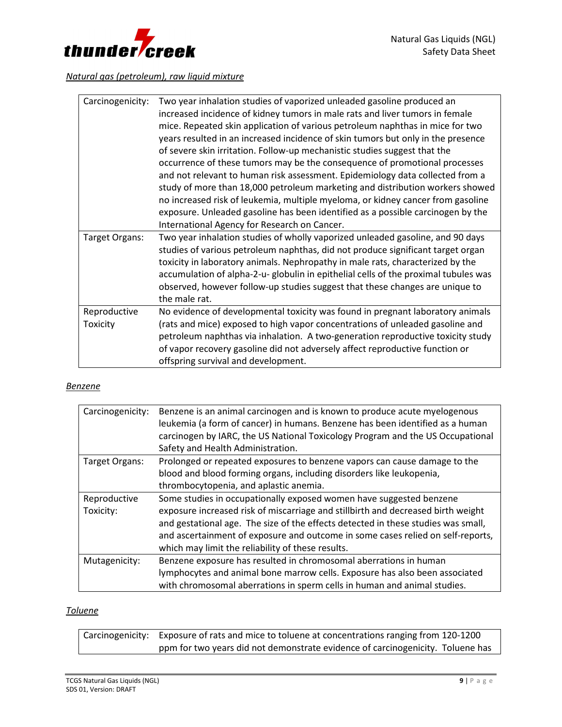

# *Natural gas (petroleum), raw liquid mixture*

| Carcinogenicity:         | Two year inhalation studies of vaporized unleaded gasoline produced an<br>increased incidence of kidney tumors in male rats and liver tumors in female<br>mice. Repeated skin application of various petroleum naphthas in mice for two<br>years resulted in an increased incidence of skin tumors but only in the presence<br>of severe skin irritation. Follow-up mechanistic studies suggest that the<br>occurrence of these tumors may be the consequence of promotional processes<br>and not relevant to human risk assessment. Epidemiology data collected from a<br>study of more than 18,000 petroleum marketing and distribution workers showed<br>no increased risk of leukemia, multiple myeloma, or kidney cancer from gasoline<br>exposure. Unleaded gasoline has been identified as a possible carcinogen by the<br>International Agency for Research on Cancer. |
|--------------------------|--------------------------------------------------------------------------------------------------------------------------------------------------------------------------------------------------------------------------------------------------------------------------------------------------------------------------------------------------------------------------------------------------------------------------------------------------------------------------------------------------------------------------------------------------------------------------------------------------------------------------------------------------------------------------------------------------------------------------------------------------------------------------------------------------------------------------------------------------------------------------------|
| Target Organs:           | Two year inhalation studies of wholly vaporized unleaded gasoline, and 90 days<br>studies of various petroleum naphthas, did not produce significant target organ<br>toxicity in laboratory animals. Nephropathy in male rats, characterized by the<br>accumulation of alpha-2-u- globulin in epithelial cells of the proximal tubules was<br>observed, however follow-up studies suggest that these changes are unique to<br>the male rat.                                                                                                                                                                                                                                                                                                                                                                                                                                    |
| Reproductive<br>Toxicity | No evidence of developmental toxicity was found in pregnant laboratory animals<br>(rats and mice) exposed to high vapor concentrations of unleaded gasoline and<br>petroleum naphthas via inhalation. A two-generation reproductive toxicity study<br>of vapor recovery gasoline did not adversely affect reproductive function or<br>offspring survival and development.                                                                                                                                                                                                                                                                                                                                                                                                                                                                                                      |

#### *Benzene*

| Carcinogenicity:          | Benzene is an animal carcinogen and is known to produce acute myelogenous<br>leukemia (a form of cancer) in humans. Benzene has been identified as a human<br>carcinogen by IARC, the US National Toxicology Program and the US Occupational<br>Safety and Health Administration.                                                                                                    |
|---------------------------|--------------------------------------------------------------------------------------------------------------------------------------------------------------------------------------------------------------------------------------------------------------------------------------------------------------------------------------------------------------------------------------|
| Target Organs:            | Prolonged or repeated exposures to benzene vapors can cause damage to the                                                                                                                                                                                                                                                                                                            |
|                           | blood and blood forming organs, including disorders like leukopenia,                                                                                                                                                                                                                                                                                                                 |
|                           | thrombocytopenia, and aplastic anemia.                                                                                                                                                                                                                                                                                                                                               |
| Reproductive<br>Toxicity: | Some studies in occupationally exposed women have suggested benzene<br>exposure increased risk of miscarriage and stillbirth and decreased birth weight<br>and gestational age. The size of the effects detected in these studies was small,<br>and ascertainment of exposure and outcome in some cases relied on self-reports,<br>which may limit the reliability of these results. |
| Mutagenicity:             | Benzene exposure has resulted in chromosomal aberrations in human<br>lymphocytes and animal bone marrow cells. Exposure has also been associated<br>with chromosomal aberrations in sperm cells in human and animal studies.                                                                                                                                                         |

## *Toluene*

| Carcinogenicity: Exposure of rats and mice to toluene at concentrations ranging from 120-1200 |
|-----------------------------------------------------------------------------------------------|
| ppm for two years did not demonstrate evidence of carcinogenicity. Toluene has                |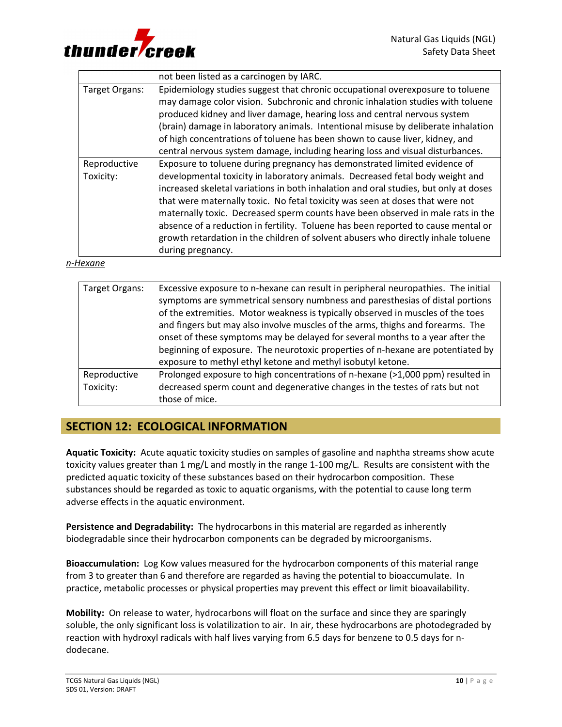

|                | not been listed as a carcinogen by IARC.                                             |
|----------------|--------------------------------------------------------------------------------------|
| Target Organs: | Epidemiology studies suggest that chronic occupational overexposure to toluene       |
|                | may damage color vision. Subchronic and chronic inhalation studies with toluene      |
|                | produced kidney and liver damage, hearing loss and central nervous system            |
|                | (brain) damage in laboratory animals. Intentional misuse by deliberate inhalation    |
|                | of high concentrations of toluene has been shown to cause liver, kidney, and         |
|                | central nervous system damage, including hearing loss and visual disturbances.       |
| Reproductive   | Exposure to toluene during pregnancy has demonstrated limited evidence of            |
| Toxicity:      | developmental toxicity in laboratory animals. Decreased fetal body weight and        |
|                | increased skeletal variations in both inhalation and oral studies, but only at doses |
|                | that were maternally toxic. No fetal toxicity was seen at doses that were not        |
|                | maternally toxic. Decreased sperm counts have been observed in male rats in the      |
|                | absence of a reduction in fertility. Toluene has been reported to cause mental or    |
|                | growth retardation in the children of solvent abusers who directly inhale toluene    |
|                | during pregnancy.                                                                    |

#### *n-Hexane*

| Target Organs: | Excessive exposure to n-hexane can result in peripheral neuropathies. The initial<br>symptoms are symmetrical sensory numbness and paresthesias of distal portions<br>of the extremities. Motor weakness is typically observed in muscles of the toes<br>and fingers but may also involve muscles of the arms, thighs and forearms. The<br>onset of these symptoms may be delayed for several months to a year after the<br>beginning of exposure. The neurotoxic properties of n-hexane are potentiated by<br>exposure to methyl ethyl ketone and methyl isobutyl ketone. |
|----------------|----------------------------------------------------------------------------------------------------------------------------------------------------------------------------------------------------------------------------------------------------------------------------------------------------------------------------------------------------------------------------------------------------------------------------------------------------------------------------------------------------------------------------------------------------------------------------|
| Reproductive   | Prolonged exposure to high concentrations of n-hexane (>1,000 ppm) resulted in                                                                                                                                                                                                                                                                                                                                                                                                                                                                                             |
| Toxicity:      | decreased sperm count and degenerative changes in the testes of rats but not                                                                                                                                                                                                                                                                                                                                                                                                                                                                                               |
|                | those of mice.                                                                                                                                                                                                                                                                                                                                                                                                                                                                                                                                                             |

# **SECTION 12: ECOLOGICAL INFORMATION**

**Aquatic Toxicity:** Acute aquatic toxicity studies on samples of gasoline and naphtha streams show acute toxicity values greater than 1 mg/L and mostly in the range 1-100 mg/L. Results are consistent with the predicted aquatic toxicity of these substances based on their hydrocarbon composition. These substances should be regarded as toxic to aquatic organisms, with the potential to cause long term adverse effects in the aquatic environment.

**Persistence and Degradability:** The hydrocarbons in this material are regarded as inherently biodegradable since their hydrocarbon components can be degraded by microorganisms.

**Bioaccumulation:** Log Kow values measured for the hydrocarbon components of this material range from 3 to greater than 6 and therefore are regarded as having the potential to bioaccumulate. In practice, metabolic processes or physical properties may prevent this effect or limit bioavailability.

**Mobility:** On release to water, hydrocarbons will float on the surface and since they are sparingly soluble, the only significant loss is volatilization to air. In air, these hydrocarbons are photodegraded by reaction with hydroxyl radicals with half lives varying from 6.5 days for benzene to 0.5 days for ndodecane.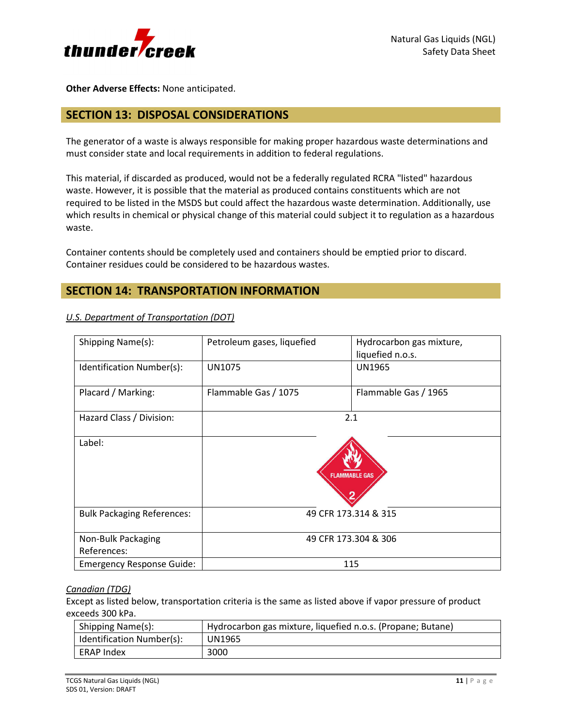

**Other Adverse Effects:** None anticipated.

# **SECTION 13: DISPOSAL CONSIDERATIONS**

The generator of a waste is always responsible for making proper hazardous waste determinations and must consider state and local requirements in addition to federal regulations.

This material, if discarded as produced, would not be a federally regulated RCRA "listed" hazardous waste. However, it is possible that the material as produced contains constituents which are not required to be listed in the MSDS but could affect the hazardous waste determination. Additionally, use which results in chemical or physical change of this material could subject it to regulation as a hazardous waste.

Container contents should be completely used and containers should be emptied prior to discard. Container residues could be considered to be hazardous wastes.

## **SECTION 14: TRANSPORTATION INFORMATION**

| Shipping Name(s):                 | Petroleum gases, liquefied | Hydrocarbon gas mixture,<br>liquefied n.o.s. |
|-----------------------------------|----------------------------|----------------------------------------------|
| Identification Number(s):         | <b>UN1075</b>              | <b>UN1965</b>                                |
| Placard / Marking:                | Flammable Gas / 1075       | Flammable Gas / 1965                         |
| Hazard Class / Division:          |                            | 2.1                                          |
| Label:                            |                            | <b>FLAMMABLE GAS</b>                         |
| <b>Bulk Packaging References:</b> |                            | 49 CFR 173.314 & 315                         |
| Non-Bulk Packaging<br>References: |                            | 49 CFR 173.304 & 306                         |
| <b>Emergency Response Guide:</b>  |                            | 115                                          |

### *U.S. Department of Transportation (DOT)*

### *Canadian (TDG)*

Except as listed below, transportation criteria is the same as listed above if vapor pressure of product exceeds 300 kPa.

| Shipping Name(s):         | Hydrocarbon gas mixture, liquefied n.o.s. (Propane; Butane) |  |
|---------------------------|-------------------------------------------------------------|--|
| Identification Number(s): | <b>UN1965</b>                                               |  |
| ERAP Index                | 3000                                                        |  |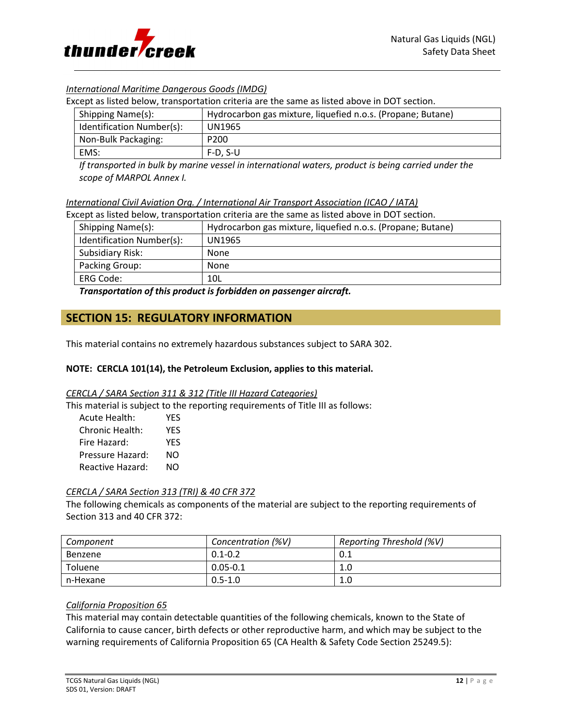

### *International Maritime Dangerous Goods (IMDG)*

Except as listed below, transportation criteria are the same as listed above in DOT section.

| Shipping Name(s):         | Hydrocarbon gas mixture, liquefied n.o.s. (Propane; Butane) |  |
|---------------------------|-------------------------------------------------------------|--|
| Identification Number(s): | UN1965                                                      |  |
| Non-Bulk Packaging:       | P <sub>200</sub>                                            |  |
| EMS:                      | $F-D. S-U$                                                  |  |

*If transported in bulk by marine vessel in international waters, product is being carried under the scope of MARPOL Annex I.* 

*International Civil Aviation Org. / International Air Transport Association (ICAO / IATA)*

Except as listed below, transportation criteria are the same as listed above in DOT section.

| Shipping Name(s):         | Hydrocarbon gas mixture, liquefied n.o.s. (Propane; Butane) |
|---------------------------|-------------------------------------------------------------|
| Identification Number(s): | UN1965                                                      |
| Subsidiary Risk:          | None                                                        |
| Packing Group:            | None                                                        |
| ERG Code:                 | 10L                                                         |

*Transportation of this product is forbidden on passenger aircraft.*

## **SECTION 15: REGULATORY INFORMATION**

This material contains no extremely hazardous substances subject to SARA 302.

### **NOTE: CERCLA 101(14), the Petroleum Exclusion, applies to this material.**

#### *CERCLA / SARA Section 311 & 312 (Title III Hazard Categories)*

This material is subject to the reporting requirements of Title III as follows:

| Acute Health:    | YFS |
|------------------|-----|
| Chronic Health:  | YFS |
| Fire Hazard:     | YFS |
| Pressure Hazard: | NΟ  |
| Reactive Hazard: | NΟ  |

#### *CERCLA / SARA Section 313 (TRI) & 40 CFR 372*

The following chemicals as components of the material are subject to the reporting requirements of Section 313 and 40 CFR 372:

| Component      | Concentration (%V) | Reporting Threshold (%V) |
|----------------|--------------------|--------------------------|
| Benzene        | $0.1 - 0.2$        | 0.1                      |
| <b>Toluene</b> | $0.05 - 0.1$       | 1.0                      |
| n-Hexane       | $0.5 - 1.0$        | 1.0                      |

### *California Proposition 65*

This material may contain detectable quantities of the following chemicals, known to the State of California to cause cancer, birth defects or other reproductive harm, and which may be subject to the warning requirements of California Proposition 65 (CA Health & Safety Code Section 25249.5):